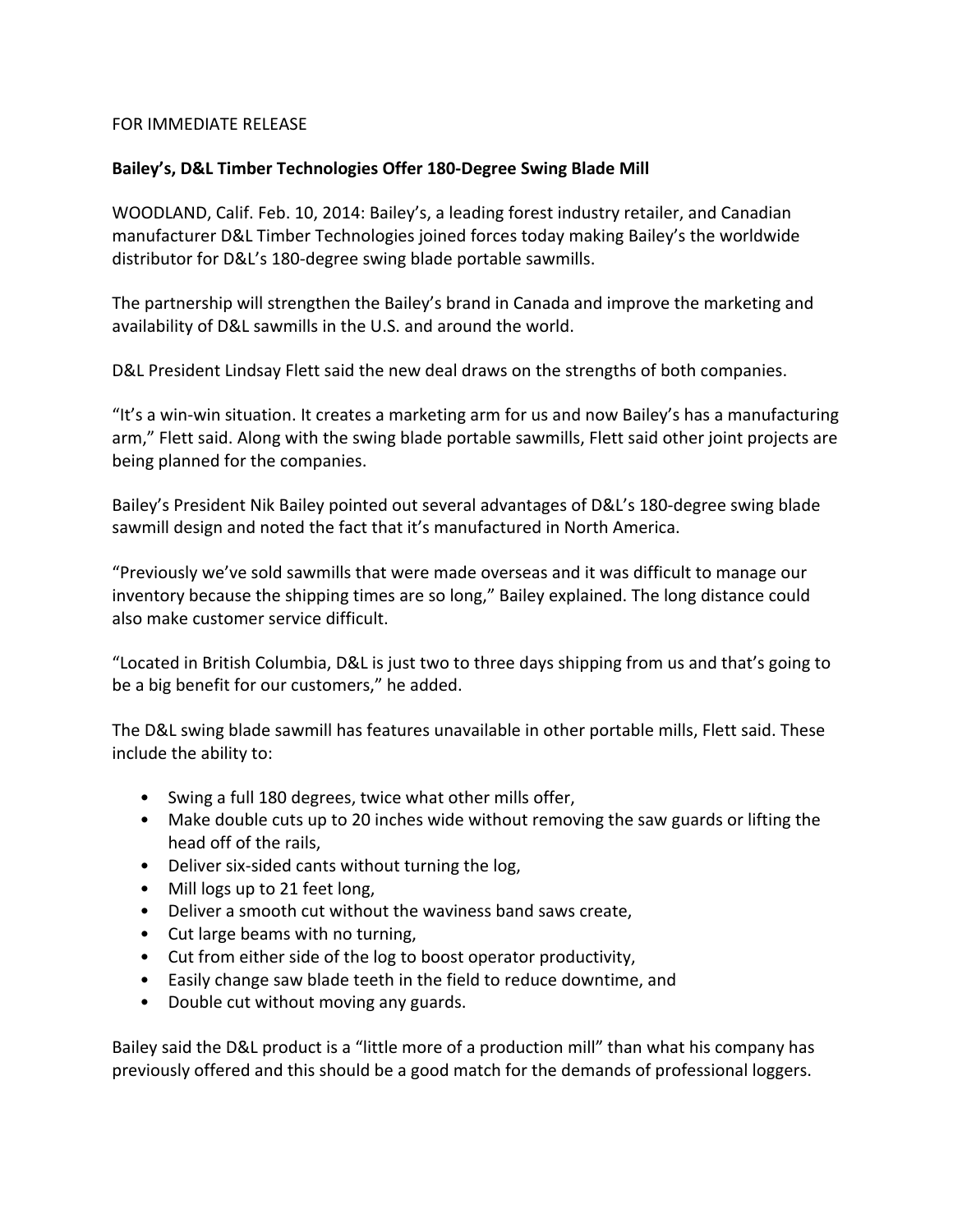## FOR IMMEDIATE RELEASE

# **Bailey's, D&L Timber Technologies Offer 180-Degree Swing Blade Mill**

WOODLAND, Calif. Feb. 10, 2014: Bailey's, a leading forest industry retailer, and Canadian manufacturer D&L Timber Technologies joined forces today making Bailey's the worldwide distributor for D&L's 180-degree swing blade portable sawmills.

The partnership will strengthen the Bailey's brand in Canada and improve the marketing and availability of D&L sawmills in the U.S. and around the world.

D&L President Lindsay Flett said the new deal draws on the strengths of both companies.

"It's a win-win situation. It creates a marketing arm for us and now Bailey's has a manufacturing arm," Flett said. Along with the swing blade portable sawmills, Flett said other joint projects are being planned for the companies.

Bailey's President Nik Bailey pointed out several advantages of D&L's 180-degree swing blade sawmill design and noted the fact that it's manufactured in North America.

"Previously we've sold sawmills that were made overseas and it was difficult to manage our inventory because the shipping times are so long," Bailey explained. The long distance could also make customer service difficult.

"Located in British Columbia, D&L is just two to three days shipping from us and that's going to be a big benefit for our customers," he added.

The D&L swing blade sawmill has features unavailable in other portable mills, Flett said. These include the ability to:

- Swing a full 180 degrees, twice what other mills offer,
- Make double cuts up to 20 inches wide without removing the saw guards or lifting the head off of the rails,
- Deliver six-sided cants without turning the log,
- Mill logs up to 21 feet long,
- Deliver a smooth cut without the waviness band saws create,
- Cut large beams with no turning,
- Cut from either side of the log to boost operator productivity,
- Easily change saw blade teeth in the field to reduce downtime, and
- Double cut without moving any guards.

Bailey said the D&L product is a "little more of a production mill" than what his company has previously offered and this should be a good match for the demands of professional loggers.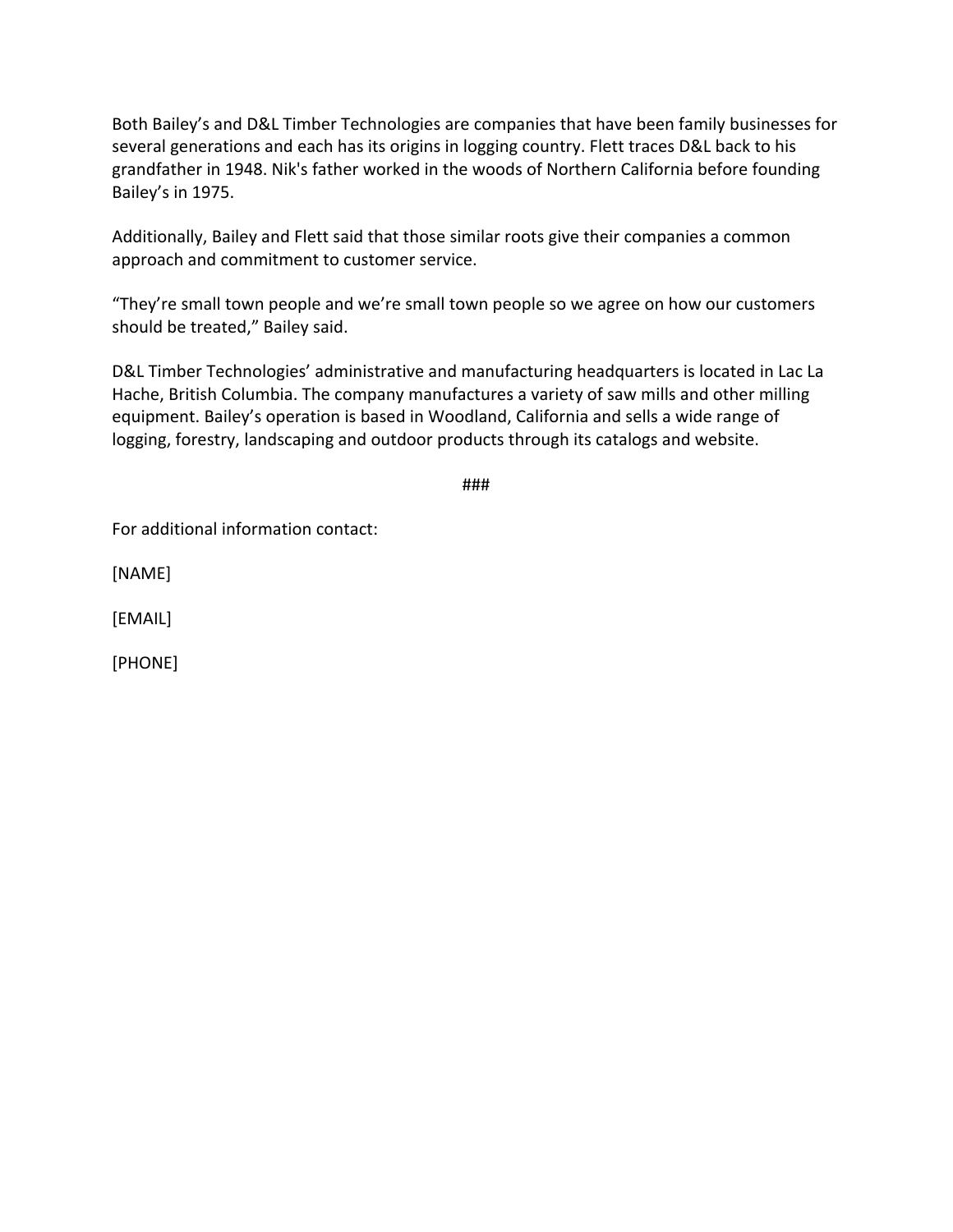Both Bailey's and D&L Timber Technologies are companies that have been family businesses for several generations and each has its origins in logging country. Flett traces D&L back to his grandfather in 1948. Nik's father worked in the woods of Northern California before founding Bailey's in 1975.

Additionally, Bailey and Flett said that those similar roots give their companies a common approach and commitment to customer service.

"They're small town people and we're small town people so we agree on how our customers should be treated," Bailey said.

D&L Timber Technologies' administrative and manufacturing headquarters is located in Lac La Hache, British Columbia. The company manufactures a variety of saw mills and other milling equipment. Bailey's operation is based in Woodland, California and sells a wide range of logging, forestry, landscaping and outdoor products through its catalogs and website.

###

For additional information contact:

[NAME]

[EMAIL]

[PHONE]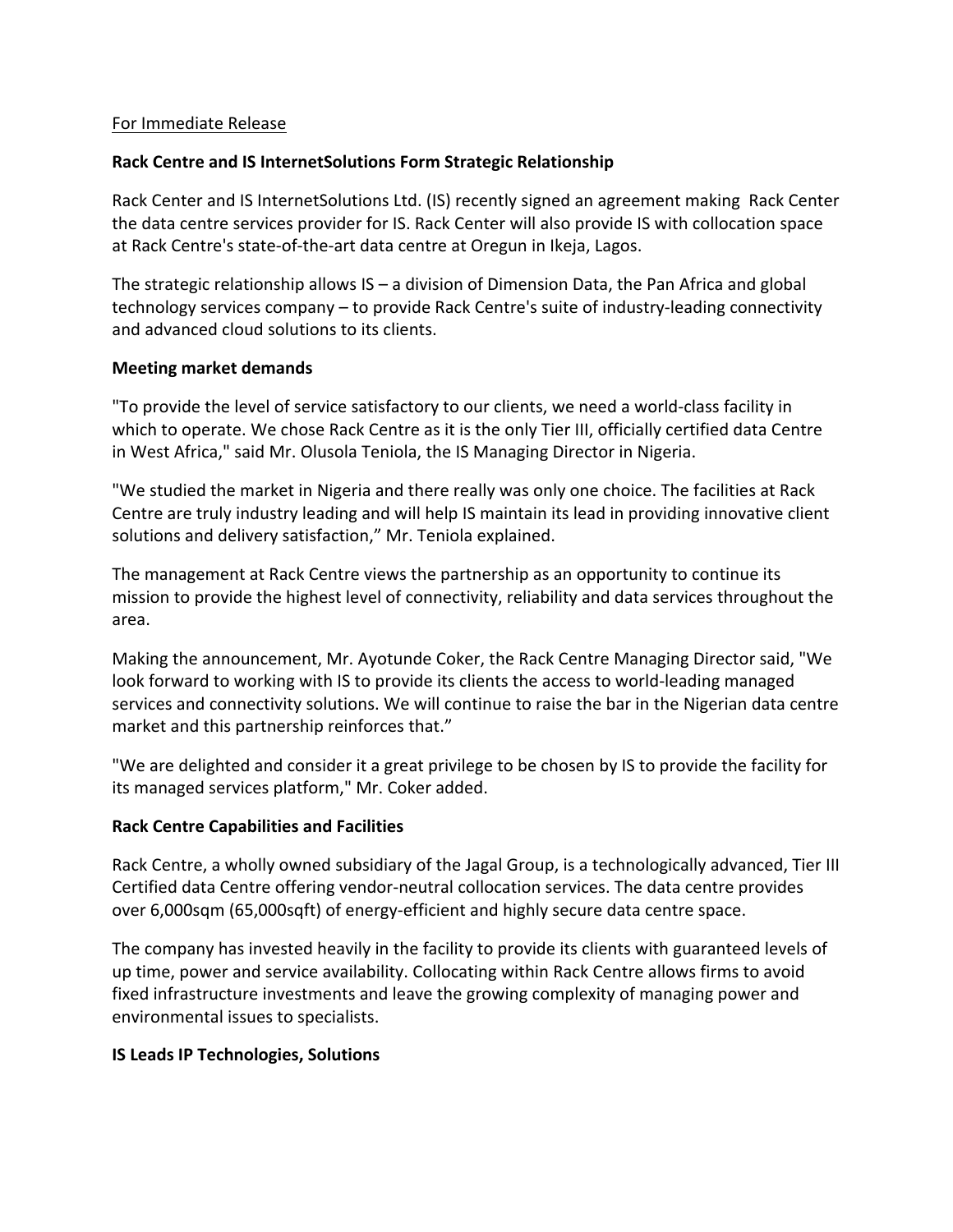### For Immediate Release

### **Rack Centre and IS InternetSolutions Form Strategic Relationship**

Rack Center and IS InternetSolutions Ltd. (IS) recently signed an agreement making Rack Center the data centre services provider for IS. Rack Center will also provide IS with collocation space at Rack Centre's state-of-the-art data centre at Oregun in Ikeja, Lagos.

The strategic relationship allows  $IS - a$  division of Dimension Data, the Pan Africa and global technology services company – to provide Rack Centre's suite of industry-leading connectivity and advanced cloud solutions to its clients.

#### **Meeting market demands**

"To provide the level of service satisfactory to our clients, we need a world-class facility in which to operate. We chose Rack Centre as it is the only Tier III, officially certified data Centre in West Africa," said Mr. Olusola Teniola, the IS Managing Director in Nigeria.

"We studied the market in Nigeria and there really was only one choice. The facilities at Rack Centre are truly industry leading and will help IS maintain its lead in providing innovative client solutions and delivery satisfaction," Mr. Teniola explained.

The management at Rack Centre views the partnership as an opportunity to continue its mission to provide the highest level of connectivity, reliability and data services throughout the area.

Making the announcement, Mr. Ayotunde Coker, the Rack Centre Managing Director said, "We look forward to working with IS to provide its clients the access to world-leading managed services and connectivity solutions. We will continue to raise the bar in the Nigerian data centre market and this partnership reinforces that."

"We are delighted and consider it a great privilege to be chosen by IS to provide the facility for its managed services platform," Mr. Coker added.

### **Rack Centre Capabilities and Facilities**

Rack Centre, a wholly owned subsidiary of the Jagal Group, is a technologically advanced, Tier III Certified data Centre offering vendor-neutral collocation services. The data centre provides over 6,000sqm (65,000sqft) of energy-efficient and highly secure data centre space.

The company has invested heavily in the facility to provide its clients with guaranteed levels of up time, power and service availability. Collocating within Rack Centre allows firms to avoid fixed infrastructure investments and leave the growing complexity of managing power and environmental issues to specialists.

#### **IS Leads IP Technologies, Solutions**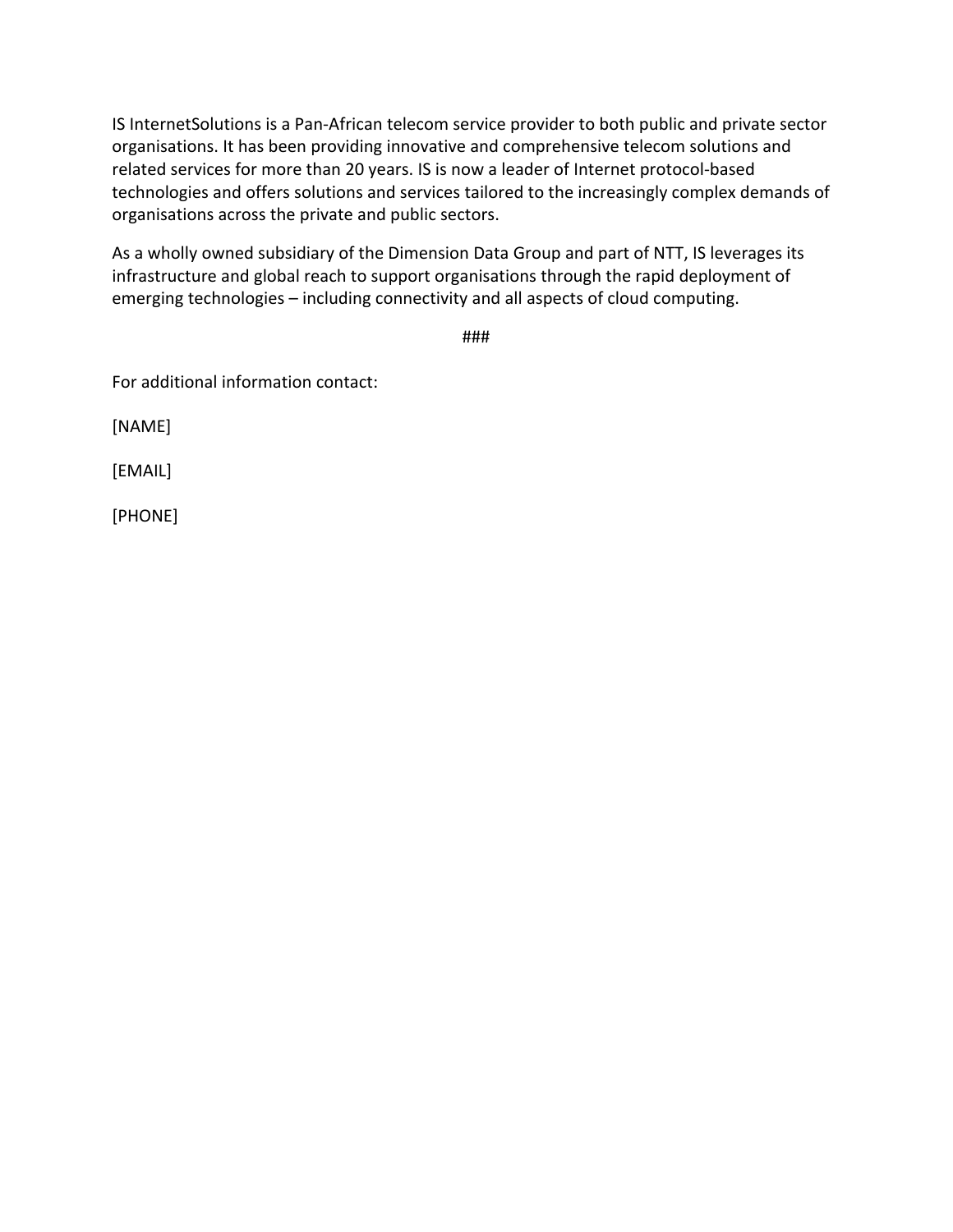IS InternetSolutions is a Pan-African telecom service provider to both public and private sector organisations. It has been providing innovative and comprehensive telecom solutions and related services for more than 20 years. IS is now a leader of Internet protocol-based technologies and offers solutions and services tailored to the increasingly complex demands of organisations across the private and public sectors.

As a wholly owned subsidiary of the Dimension Data Group and part of NTT, IS leverages its infrastructure and global reach to support organisations through the rapid deployment of emerging technologies - including connectivity and all aspects of cloud computing.

###

For additional information contact:

[NAME]

[EMAIL]

[PHONE]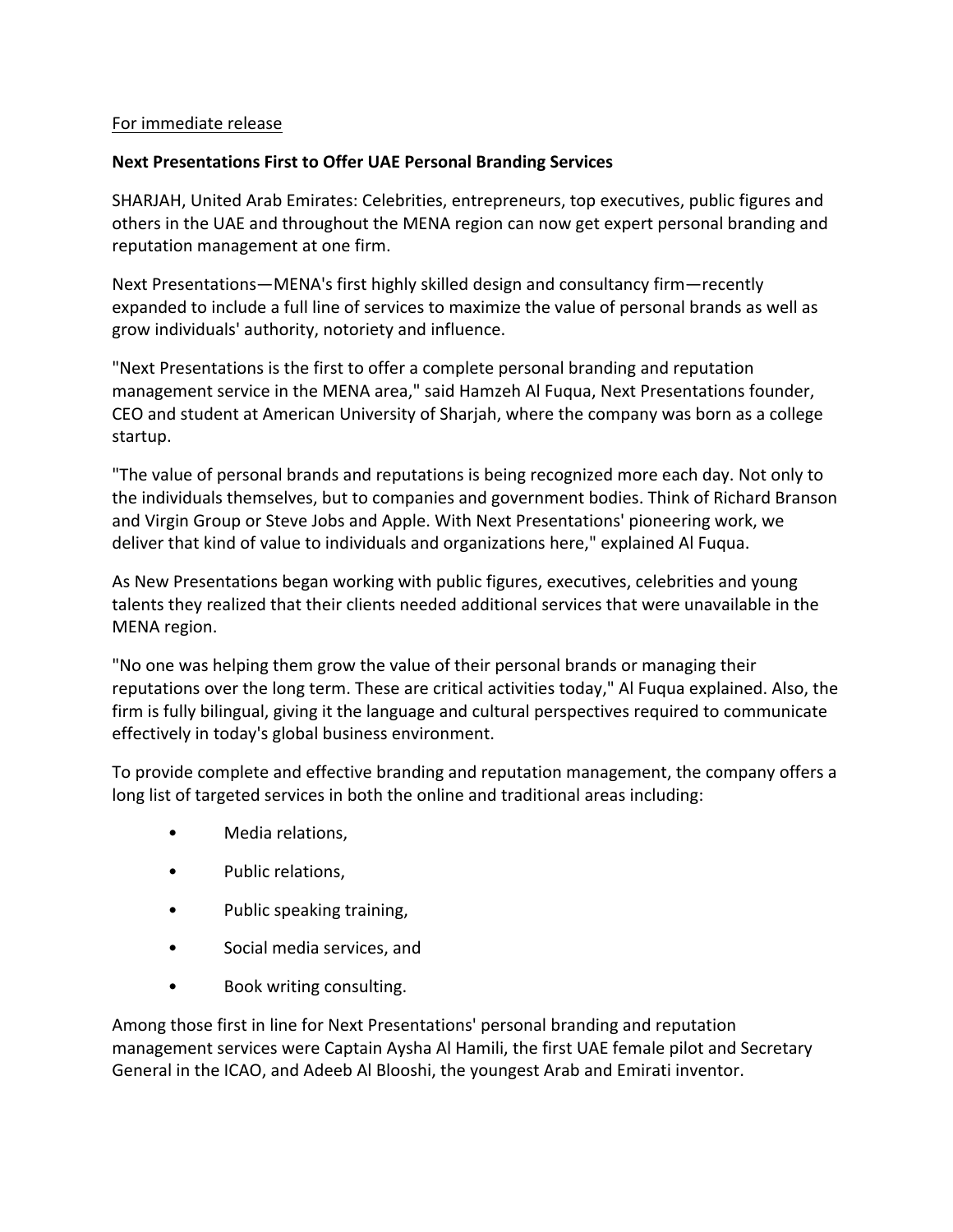### For immediate release

### **Next Presentations First to Offer UAE Personal Branding Services**

SHARJAH, United Arab Emirates: Celebrities, entrepreneurs, top executives, public figures and others in the UAE and throughout the MENA region can now get expert personal branding and reputation management at one firm.

Next Presentations—MENA's first highly skilled design and consultancy firm—recently expanded to include a full line of services to maximize the value of personal brands as well as grow individuals' authority, notoriety and influence.

"Next Presentations is the first to offer a complete personal branding and reputation management service in the MENA area," said Hamzeh Al Fuqua, Next Presentations founder, CEO and student at American University of Sharjah, where the company was born as a college startup.

"The value of personal brands and reputations is being recognized more each day. Not only to the individuals themselves, but to companies and government bodies. Think of Richard Branson and Virgin Group or Steve Jobs and Apple. With Next Presentations' pioneering work, we deliver that kind of value to individuals and organizations here," explained Al Fuqua.

As New Presentations began working with public figures, executives, celebrities and young talents they realized that their clients needed additional services that were unavailable in the MENA region.

"No one was helping them grow the value of their personal brands or managing their reputations over the long term. These are critical activities today," Al Fuqua explained. Also, the firm is fully bilingual, giving it the language and cultural perspectives required to communicate effectively in today's global business environment.

To provide complete and effective branding and reputation management, the company offers a long list of targeted services in both the online and traditional areas including:

- Media relations.
- Public relations,
- Public speaking training,
- Social media services, and
- Book writing consulting.

Among those first in line for Next Presentations' personal branding and reputation management services were Captain Aysha Al Hamili, the first UAE female pilot and Secretary General in the ICAO, and Adeeb Al Blooshi, the youngest Arab and Emirati inventor.